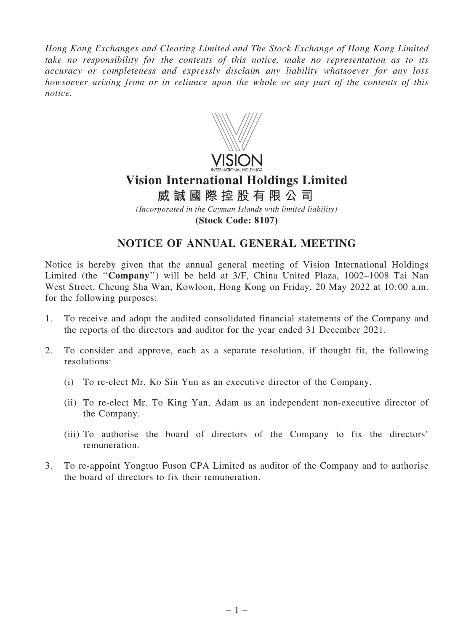*Hong Kong Exchanges and Clearing Limited and The Stock Exchange of Hong Kong Limited take no responsibility for the contents of this notice, make no representation as to its accuracy or completeness and expressly disclaim any liability whatsoever for any loss howsoever arising from or in reliance upon the whole or any part of the contents of this notice.*



# **Vision International Holdings Limited**

*(Incorporated in the Cayman Islands with limited liability)* **威 誠 國 際 控 股 有 限 公 司**

**(Stock Code: 8107)**

## NOTICE OF ANNUAL GENERAL MEETING

Notice is hereby given that the annual general meeting of Vision International Holdings Limited (the "Company") will be held at 3/F, China United Plaza, 1002–1008 Tai Nan West Street, Cheung Sha Wan, Kowloon, Hong Kong on Friday, 20 May 2022 at 10:00 a.m. for the following purposes:

- 1. To receive and adopt the audited consolidated financial statements of the Company and the reports of the directors and auditor for the year ended 31 December 2021.
- 2. To consider and approve, each as a separate resolution, if thought fit, the following resolutions:
	- (i) To re-elect Mr. Ko Sin Yun as an executive director of the Company.
	- (ii) To re-elect Mr. To King Yan, Adam as an independent non-executive director of the Company.
	- (iii) To authorise the board of directors of the Company to fix the directors' remuneration.
- 3. To re-appoint Yongtuo Fuson CPA Limited as auditor of the Company and to authorise the board of directors to fix their remuneration.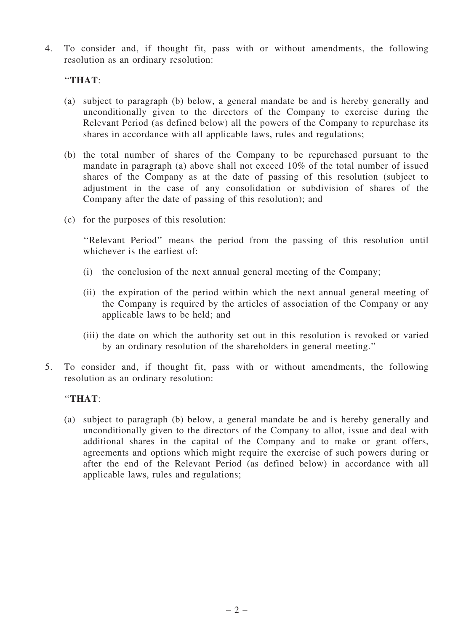4. To consider and, if thought fit, pass with or without amendments, the following resolution as an ordinary resolution:

### ''THAT:

- (a) subject to paragraph (b) below, a general mandate be and is hereby generally and unconditionally given to the directors of the Company to exercise during the Relevant Period (as defined below) all the powers of the Company to repurchase its shares in accordance with all applicable laws, rules and regulations;
- (b) the total number of shares of the Company to be repurchased pursuant to the mandate in paragraph (a) above shall not exceed 10% of the total number of issued shares of the Company as at the date of passing of this resolution (subject to adjustment in the case of any consolidation or subdivision of shares of the Company after the date of passing of this resolution); and
- (c) for the purposes of this resolution:

''Relevant Period'' means the period from the passing of this resolution until whichever is the earliest of:

- (i) the conclusion of the next annual general meeting of the Company;
- (ii) the expiration of the period within which the next annual general meeting of the Company is required by the articles of association of the Company or any applicable laws to be held; and
- (iii) the date on which the authority set out in this resolution is revoked or varied by an ordinary resolution of the shareholders in general meeting.''
- 5. To consider and, if thought fit, pass with or without amendments, the following resolution as an ordinary resolution:

#### ''THAT:

(a) subject to paragraph (b) below, a general mandate be and is hereby generally and unconditionally given to the directors of the Company to allot, issue and deal with additional shares in the capital of the Company and to make or grant offers, agreements and options which might require the exercise of such powers during or after the end of the Relevant Period (as defined below) in accordance with all applicable laws, rules and regulations;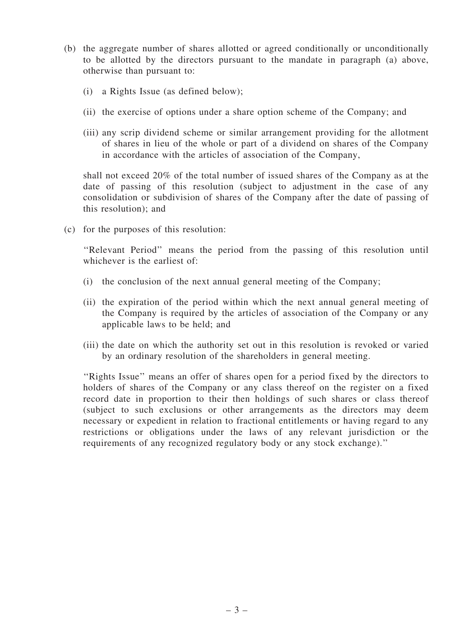- (b) the aggregate number of shares allotted or agreed conditionally or unconditionally to be allotted by the directors pursuant to the mandate in paragraph (a) above, otherwise than pursuant to:
	- (i) a Rights Issue (as defined below);
	- (ii) the exercise of options under a share option scheme of the Company; and
	- (iii) any scrip dividend scheme or similar arrangement providing for the allotment of shares in lieu of the whole or part of a dividend on shares of the Company in accordance with the articles of association of the Company,

shall not exceed 20% of the total number of issued shares of the Company as at the date of passing of this resolution (subject to adjustment in the case of any consolidation or subdivision of shares of the Company after the date of passing of this resolution); and

(c) for the purposes of this resolution:

''Relevant Period'' means the period from the passing of this resolution until whichever is the earliest of:

- (i) the conclusion of the next annual general meeting of the Company;
- (ii) the expiration of the period within which the next annual general meeting of the Company is required by the articles of association of the Company or any applicable laws to be held; and
- (iii) the date on which the authority set out in this resolution is revoked or varied by an ordinary resolution of the shareholders in general meeting.

''Rights Issue'' means an offer of shares open for a period fixed by the directors to holders of shares of the Company or any class thereof on the register on a fixed record date in proportion to their then holdings of such shares or class thereof (subject to such exclusions or other arrangements as the directors may deem necessary or expedient in relation to fractional entitlements or having regard to any restrictions or obligations under the laws of any relevant jurisdiction or the requirements of any recognized regulatory body or any stock exchange).''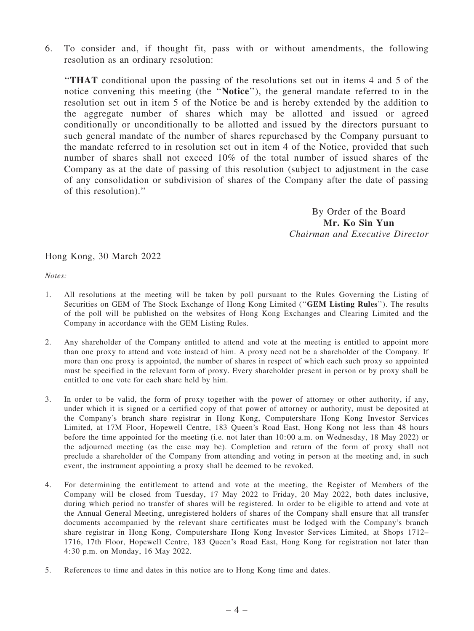6. To consider and, if thought fit, pass with or without amendments, the following resolution as an ordinary resolution:

''THAT conditional upon the passing of the resolutions set out in items 4 and 5 of the notice convening this meeting (the ''Notice''), the general mandate referred to in the resolution set out in item 5 of the Notice be and is hereby extended by the addition to the aggregate number of shares which may be allotted and issued or agreed conditionally or unconditionally to be allotted and issued by the directors pursuant to such general mandate of the number of shares repurchased by the Company pursuant to the mandate referred to in resolution set out in item 4 of the Notice, provided that such number of shares shall not exceed 10% of the total number of issued shares of the Company as at the date of passing of this resolution (subject to adjustment in the case of any consolidation or subdivision of shares of the Company after the date of passing of this resolution).''

> By Order of the Board Mr. Ko Sin Yun *Chairman and Executive Director*

#### Hong Kong, 30 March 2022

*Notes:*

- 1. All resolutions at the meeting will be taken by poll pursuant to the Rules Governing the Listing of Securities on GEM of The Stock Exchange of Hong Kong Limited (''GEM Listing Rules''). The results of the poll will be published on the websites of Hong Kong Exchanges and Clearing Limited and the Company in accordance with the GEM Listing Rules.
- 2. Any shareholder of the Company entitled to attend and vote at the meeting is entitled to appoint more than one proxy to attend and vote instead of him. A proxy need not be a shareholder of the Company. If more than one proxy is appointed, the number of shares in respect of which each such proxy so appointed must be specified in the relevant form of proxy. Every shareholder present in person or by proxy shall be entitled to one vote for each share held by him.
- 3. In order to be valid, the form of proxy together with the power of attorney or other authority, if any, under which it is signed or a certified copy of that power of attorney or authority, must be deposited at the Company's branch share registrar in Hong Kong, Computershare Hong Kong Investor Services Limited, at 17M Floor, Hopewell Centre, 183 Queen's Road East, Hong Kong not less than 48 hours before the time appointed for the meeting (i.e. not later than 10:00 a.m. on Wednesday, 18 May 2022) or the adjourned meeting (as the case may be). Completion and return of the form of proxy shall not preclude a shareholder of the Company from attending and voting in person at the meeting and, in such event, the instrument appointing a proxy shall be deemed to be revoked.
- 4. For determining the entitlement to attend and vote at the meeting, the Register of Members of the Company will be closed from Tuesday, 17 May 2022 to Friday, 20 May 2022, both dates inclusive, during which period no transfer of shares will be registered. In order to be eligible to attend and vote at the Annual General Meeting, unregistered holders of shares of the Company shall ensure that all transfer documents accompanied by the relevant share certificates must be lodged with the Company's branch share registrar in Hong Kong, Computershare Hong Kong Investor Services Limited, at Shops 1712– 1716, 17th Floor, Hopewell Centre, 183 Queen's Road East, Hong Kong for registration not later than 4:30 p.m. on Monday, 16 May 2022.
- 5. References to time and dates in this notice are to Hong Kong time and dates.